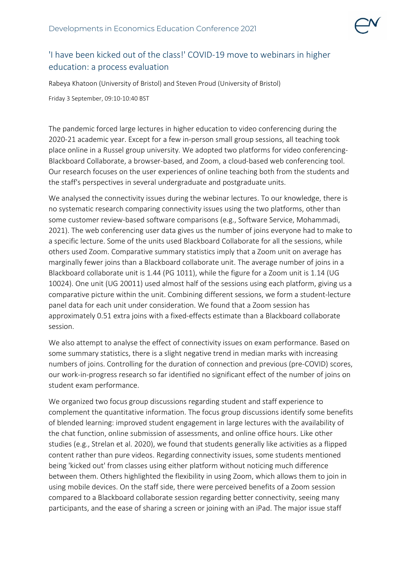

## 'I have been kicked out of the class!' COVID-19 move to webinars in higher education: a process evaluation

Rabeya Khatoon (University of Bristol) and Steven Proud (University of Bristol)

Friday 3 September, 09:10-10:40 BST

The pandemic forced large lectures in higher education to video conferencing during the 2020-21 academic year. Except for a few in-person small group sessions, all teaching took place online in a Russel group university. We adopted two platforms for video conferencing-Blackboard Collaborate, a browser-based, and Zoom, a cloud-based web conferencing tool. Our research focuses on the user experiences of online teaching both from the students and the staff's perspectives in several undergraduate and postgraduate units.

We analysed the connectivity issues during the webinar lectures. To our knowledge, there is no systematic research comparing connectivity issues using the two platforms, other than some customer review-based software comparisons (e.g., Software Service, Mohammadi, 2021). The web conferencing user data gives us the number of joins everyone had to make to a specific lecture. Some of the units used Blackboard Collaborate for all the sessions, while others used Zoom. Comparative summary statistics imply that a Zoom unit on average has marginally fewer joins than a Blackboard collaborate unit. The average number of joins in a Blackboard collaborate unit is 1.44 (PG 1011), while the figure for a Zoom unit is 1.14 (UG 10024). One unit (UG 20011) used almost half of the sessions using each platform, giving us a comparative picture within the unit. Combining different sessions, we form a student-lecture panel data for each unit under consideration. We found that a Zoom session has approximately 0.51 extra joins with a fixed-effects estimate than a Blackboard collaborate session.

We also attempt to analyse the effect of connectivity issues on exam performance. Based on some summary statistics, there is a slight negative trend in median marks with increasing numbers of joins. Controlling for the duration of connection and previous (pre-COVID) scores, our work-in-progress research so far identified no significant effect of the number of joins on student exam performance.

We organized two focus group discussions regarding student and staff experience to complement the quantitative information. The focus group discussions identify some benefits of blended learning: improved student engagement in large lectures with the availability of the chat function, online submission of assessments, and online office hours. Like other studies (e.g., Strelan et al. 2020), we found that students generally like activities as a flipped content rather than pure videos. Regarding connectivity issues, some students mentioned being 'kicked out' from classes using either platform without noticing much difference between them. Others highlighted the flexibility in using Zoom, which allows them to join in using mobile devices. On the staff side, there were perceived benefits of a Zoom session compared to a Blackboard collaborate session regarding better connectivity, seeing many participants, and the ease of sharing a screen or joining with an iPad. The major issue staff